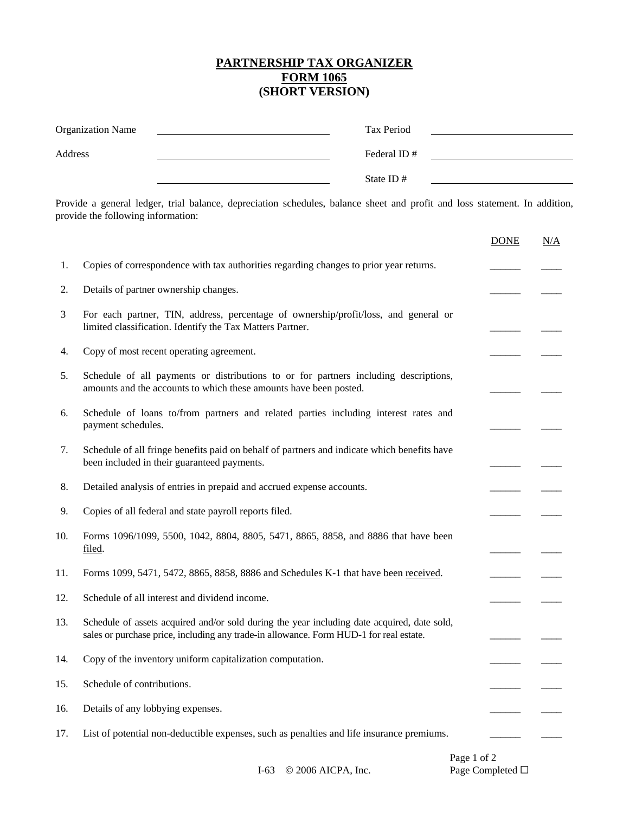## **PARTNERSHIP TAX ORGANIZER FORM 1065 (SHORT VERSION)**

| <b>Organization Name</b> | Tax Period   |  |
|--------------------------|--------------|--|
| Address                  | Federal ID#  |  |
|                          | State ID $#$ |  |

Provide a general ledger, trial balance, depreciation schedules, balance sheet and profit and loss statement. In addition, provide the following information:

|     |                                                                                                                                                                                       | <b>DONE</b>              | N/A |
|-----|---------------------------------------------------------------------------------------------------------------------------------------------------------------------------------------|--------------------------|-----|
| 1.  | Copies of correspondence with tax authorities regarding changes to prior year returns.                                                                                                |                          |     |
| 2.  | Details of partner ownership changes.                                                                                                                                                 |                          |     |
| 3   | For each partner, TIN, address, percentage of ownership/profit/loss, and general or<br>limited classification. Identify the Tax Matters Partner.                                      |                          |     |
| 4.  | Copy of most recent operating agreement.                                                                                                                                              |                          |     |
| 5.  | Schedule of all payments or distributions to or for partners including descriptions,<br>amounts and the accounts to which these amounts have been posted.                             |                          |     |
| 6.  | Schedule of loans to/from partners and related parties including interest rates and<br>payment schedules.                                                                             |                          |     |
| 7.  | Schedule of all fringe benefits paid on behalf of partners and indicate which benefits have<br>been included in their guaranteed payments.                                            | $\overline{\phantom{a}}$ |     |
| 8.  | Detailed analysis of entries in prepaid and accrued expense accounts.                                                                                                                 |                          |     |
| 9.  | Copies of all federal and state payroll reports filed.                                                                                                                                |                          |     |
| 10. | Forms 1096/1099, 5500, 1042, 8804, 8805, 5471, 8865, 8858, and 8886 that have been<br>filed.                                                                                          | $\overline{\phantom{a}}$ |     |
| 11. | Forms 1099, 5471, 5472, 8865, 8858, 8886 and Schedules K-1 that have been received.                                                                                                   |                          |     |
| 12. | Schedule of all interest and dividend income.                                                                                                                                         |                          |     |
| 13. | Schedule of assets acquired and/or sold during the year including date acquired, date sold,<br>sales or purchase price, including any trade-in allowance. Form HUD-1 for real estate. |                          |     |
| 14. | Copy of the inventory uniform capitalization computation.                                                                                                                             |                          |     |
| 15. | Schedule of contributions.                                                                                                                                                            |                          |     |
| 16. | Details of any lobbying expenses.                                                                                                                                                     |                          |     |
| 17. | List of potential non-deductible expenses, such as penalties and life insurance premiums.                                                                                             |                          |     |
|     | Page 1 of 2                                                                                                                                                                           |                          |     |